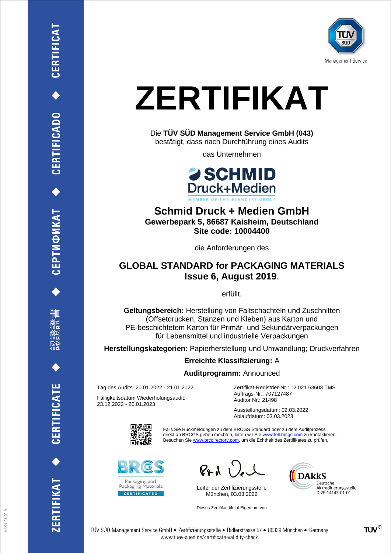

# **ZERTIFIKAT**

Die **TÜV SÜD Management Service GmbH (043)** bestätigt, dass nach Durchführung eines Audits

das Unternehmen



**Schmid Druck + Medien GmbH Gewerbepark 5, 86687 Kaisheim, Deutschland Site code: 10004400**

die Anforderungen des

## **GLOBAL STANDARD for PACKAGING MATERIALS Issue 6, August 2019**.

erfüllt.

**Geltungsbereich:** Herstellung von Faltschachteln und Zuschnitten (Offsetdrucken, Stanzen und Kleben) aus Karton und PE-beschichtetem Karton für Primär- und Sekundärverpackungen für Lebensmittel und industrielle Verpackungen

**Herstellungskategorien:** Papierherstellung und Umwandlung; Druckverfahren

### **Erreichte Klassifizierung:** A

#### **Auditprogramm:** Announced

Tag des Audits: 20.01.2022 - 21.01.2022

Fälligkeitsdatum Wiederholungsaudit: 23.12.2022 - 20.01.2023

Zertifikat-Registrier-Nr.: 12 021 63603 TMS Auftrags-Nr.: 707127487 Auditor Nr.: 21498

Ausstellungsdatum: 02.03.2022 Ablaufdatum: 03.03.2023



Falls Sie Rückmeldungen zu dem BRCGS Standard oder zu dem Auditprozess direkt an BRCGS geben möchten, bitten wir Sie www.tell.brcgs.com zu kontaktieren. Besuchen Sie www.brcdirectory.com, um die Echtheit des Zertifikates zu prüfen.



 $\mathcal{C}_{\mathbf{P}}$  d

Leiter der Zertifizierungsstelle München, 03.03.2022

Dieses Zertifikat bleibt Eigentum von



删皿

CERTIFICATE

TIFIKAT